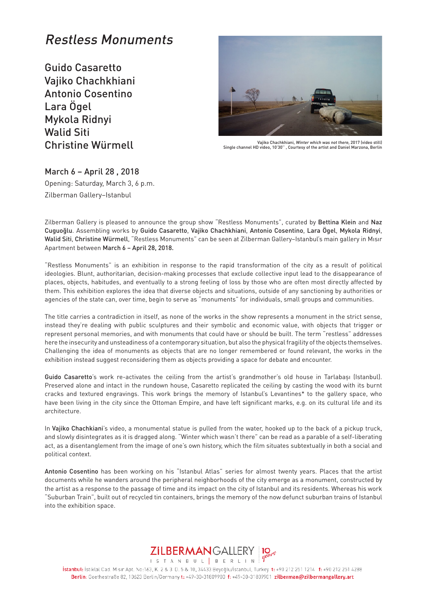## Restless Monuments

Guido Casaretto Vajiko Chachkhiani Antonio Cosentino Lara Ögel Mykola Ridnyi Walid Siti Christine Würmell



Vajiko Chachkhiani, Winter which was not there, 2017 (video still) Single channel HD video, 10'30'' , Courtesy of the artist and Daniel Marzona, Berlin

March 6 – April 28 , 2018 Opening: Saturday, March 3, 6 p.m.

Zilberman Gallery–Istanbul

Zilberman Gallery is pleased to announce the group show "Restless Monuments", curated by Bettina Klein and Naz Cuguoğlu. Assembling works by Guido Casaretto, Vajiko Chachkhiani, Antonio Cosentino, Lara Ögel, Mykola Ridnyi, Walid Siti, Christine Würmell, "Restless Monuments" can be seen at Zilberman Gallery–Istanbul's main gallery in Mısır Apartment between March 6 – April 28, 2018.

"Restless Monuments" is an exhibition in response to the rapid transformation of the city as a result of political ideologies. Blunt, authoritarian, decision-making processes that exclude collective input lead to the disappearance of places, objects, habitudes, and eventually to a strong feeling of loss by those who are often most directly affected by them. This exhibition explores the idea that diverse objects and situations, outside of any sanctioning by authorities or agencies of the state can, over time, begin to serve as "monuments" for individuals, small groups and communities.

The title carries a contradiction in itself, as none of the works in the show represents a monument in the strict sense, instead they're dealing with public sculptures and their symbolic and economic value, with objects that trigger or represent personal memories, and with monuments that could have or should be built. The term "restless" addresses here the insecurity and unsteadiness of a contemporary situation, but also the physical fragility of the objects themselves. Challenging the idea of monuments as objects that are no longer remembered or found relevant, the works in the exhibition instead suggest reconsidering them as objects providing a space for debate and encounter.

Guido Casaretto's work re-activates the ceiling from the artist's grandmother's old house in Tarlabaşı (Istanbul). Preserved alone and intact in the rundown house, Casaretto replicated the ceiling by casting the wood with its burnt cracks and textured engravings. This work brings the memory of Istanbul's Levantines\* to the gallery space, who have been living in the city since the Ottoman Empire, and have left significant marks, e.g. on its cultural life and its architecture.

In Vajiko Chachkiani's video, a monumental statue is pulled from the water, hooked up to the back of a pickup truck, and slowly disintegrates as it is dragged along. "Winter which wasn't there" can be read as a parable of a self-liberating act, as a disentanglement from the image of one's own history, which the film situates subtextually in both a social and political context.

Antonio Cosentino has been working on his "Istanbul Atlas" series for almost twenty years. Places that the artist documents while he wanders around the peripheral neighborhoods of the city emerge as a monument, constructed by the artist as a response to the passage of time and its impact on the city of Istanbul and its residents. Whereas his work "Suburban Train", built out of recycled tin containers, brings the memory of the now defunct suburban trains of Istanbul into the exhibition space.



İstanbul: İstiklal Cad. Mısır Apt. No:163, K. 2 & 3 D. 5 & 10, 34433 Beyoğlu/İstanbul, Turkey t: +90 212 251 1214 f: +90 212 251 4288 Berlin: Goethestraße 82, 10623 Berlin/Germany t: +49-30-31809900 f: +49-30-31809901 zilberman@zilbermangallery.art